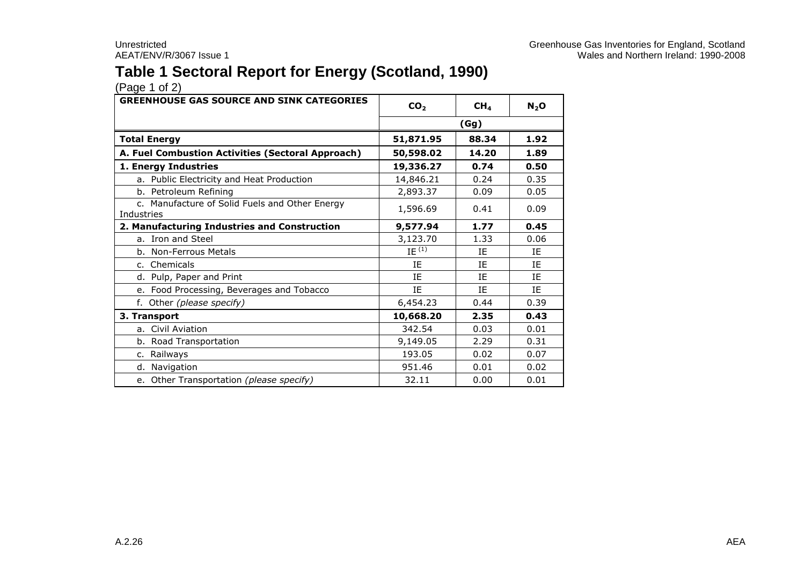## **Table 1 Sectoral Report for Energy (Scotland, 1990)**

| <b>GREENHOUSE GAS SOURCE AND SINK CATEGORIES</b>             | CO <sub>2</sub><br>CH <sub>4</sub> |       | $N_2$ O |
|--------------------------------------------------------------|------------------------------------|-------|---------|
|                                                              |                                    | (Gg)  |         |
| <b>Total Energy</b>                                          | 51,871.95                          | 88.34 | 1.92    |
| A. Fuel Combustion Activities (Sectoral Approach)            | 50,598.02                          | 14.20 | 1.89    |
| 1. Energy Industries                                         | 19,336.27                          | 0.74  | 0.50    |
| a. Public Electricity and Heat Production                    | 14,846.21                          | 0.24  | 0.35    |
| b. Petroleum Refining                                        | 2,893.37                           | 0.09  | 0.05    |
| c. Manufacture of Solid Fuels and Other Energy<br>Industries | 1,596.69                           | 0.41  | 0.09    |
| 2. Manufacturing Industries and Construction                 | 9,577.94                           | 1.77  | 0.45    |
| a. Iron and Steel                                            | 3,123.70                           | 1.33  | 0.06    |
| b. Non-Ferrous Metals                                        | $IE^{(1)}$                         | IE    | ΙF      |
| c. Chemicals                                                 | IE                                 | IE    | ΙE      |
| d. Pulp, Paper and Print                                     | IE                                 | IE    | IE      |
| e. Food Processing, Beverages and Tobacco                    | <b>IF</b>                          | IE    | IE      |
| f. Other (please specify)                                    | 6,454.23                           | 0.44  | 0.39    |
| 3. Transport                                                 | 10,668.20                          | 2.35  | 0.43    |
| a. Civil Aviation                                            | 342.54                             | 0.03  | 0.01    |
| b. Road Transportation                                       | 9,149.05                           | 2.29  | 0.31    |
| c. Railways                                                  | 193.05                             | 0.02  | 0.07    |
| d. Navigation                                                | 951.46                             | 0.01  | 0.02    |
| e. Other Transportation (please specify)                     | 32.11                              | 0.00  | 0.01    |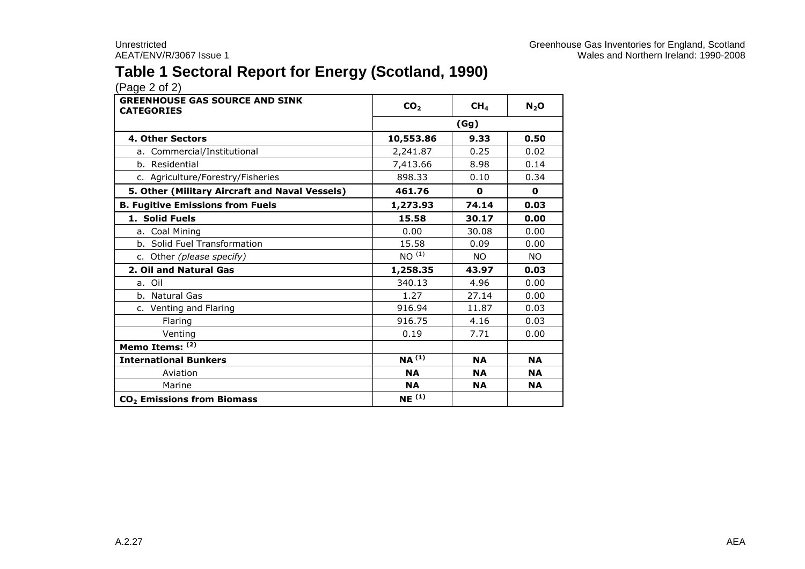## **Table 1 Sectoral Report for Energy (Scotland, 1990)**

| <b>GREENHOUSE GAS SOURCE AND SINK</b><br><b>CATEGORIES</b> | CO <sub>2</sub>           | CH <sub>4</sub> | $N_2$ O   |  |  |
|------------------------------------------------------------|---------------------------|-----------------|-----------|--|--|
|                                                            | (Gg)                      |                 |           |  |  |
| <b>4. Other Sectors</b>                                    | 0.50<br>9.33<br>10,553.86 |                 |           |  |  |
| a. Commercial/Institutional                                | 2,241.87                  | 0.25            | 0.02      |  |  |
| b. Residential                                             | 7,413.66                  | 8.98            | 0.14      |  |  |
| c. Agriculture/Forestry/Fisheries                          | 898.33                    | 0.10            | 0.34      |  |  |
| 5. Other (Military Aircraft and Naval Vessels)             | 461.76                    | 0               | 0         |  |  |
| <b>B. Fugitive Emissions from Fuels</b>                    | 1,273.93                  | 74.14           | 0.03      |  |  |
| 1. Solid Fuels                                             | 15.58                     | 30.17           | 0.00      |  |  |
| a. Coal Mining                                             | 0.00                      | 30.08           | 0.00      |  |  |
| b. Solid Fuel Transformation                               | 15.58                     | 0.09            | 0.00      |  |  |
| c. Other (please specify)                                  | NO <sup>(1)</sup>         | <b>NO</b>       | <b>NO</b> |  |  |
| 2. Oil and Natural Gas                                     | 1,258.35                  | 43.97           | 0.03      |  |  |
| a. Oil                                                     | 340.13                    | 4.96            | 0.00      |  |  |
| b. Natural Gas                                             | 1.27                      | 27.14           | 0.00      |  |  |
| c. Venting and Flaring                                     | 916.94                    | 11.87           | 0.03      |  |  |
| Flaring                                                    | 916.75                    | 4.16            | 0.03      |  |  |
| Venting                                                    | 0.19                      | 7.71            | 0.00      |  |  |
| Memo Items: (2)                                            |                           |                 |           |  |  |
| <b>International Bunkers</b>                               | $NA^{(1)}$                | <b>NA</b>       | <b>NA</b> |  |  |
| Aviation                                                   | <b>NA</b>                 | <b>NA</b>       | <b>NA</b> |  |  |
| Marine                                                     | <b>NA</b>                 | <b>NA</b>       | <b>NA</b> |  |  |
| CO <sub>2</sub> Emissions from Biomass                     | NE <sup>(1)</sup>         |                 |           |  |  |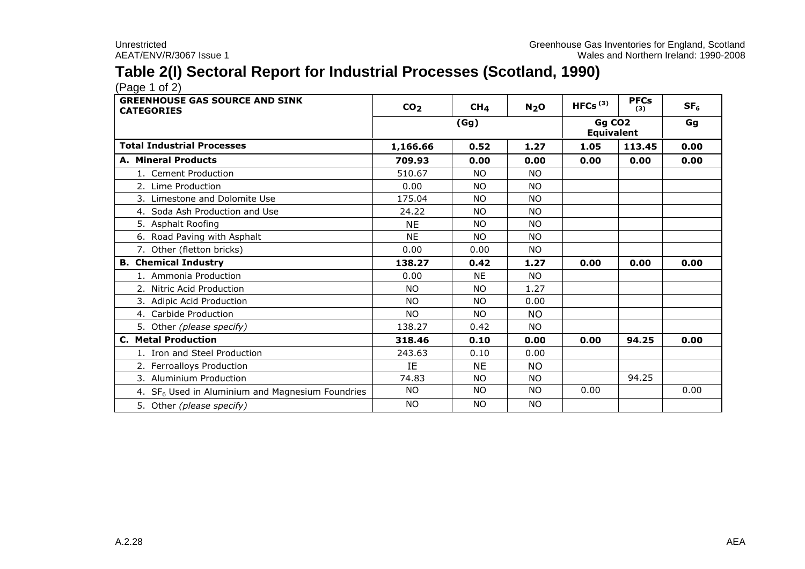## **Table 2(I) Sectoral Report for Industrial Processes (Scotland, 1990)**

 $(Pa^2 \cdot 1)$ 

| <b>GREENHOUSE GAS SOURCE AND SINK</b><br><b>CATEGORIES</b> | CO <sub>2</sub> | CH <sub>4</sub> | N <sub>2</sub> O | HFCs $(3)$                              | <b>PFCs</b><br>(3) | SF <sub>6</sub> |
|------------------------------------------------------------|-----------------|-----------------|------------------|-----------------------------------------|--------------------|-----------------|
|                                                            |                 | (Gg)            |                  | Gg CO <sub>2</sub><br><b>Equivalent</b> |                    | Gg              |
| <b>Total Industrial Processes</b>                          | 1,166.66        | 0.52            | 1.27             | 1.05                                    | 113.45             | 0.00            |
| A. Mineral Products                                        | 709.93          | 0.00            | 0.00             | 0.00                                    | 0.00               | 0.00            |
| 1. Cement Production                                       | 510.67          | <b>NO</b>       | <b>NO</b>        |                                         |                    |                 |
| 2. Lime Production                                         | 0.00            | <b>NO</b>       | <b>NO</b>        |                                         |                    |                 |
| 3. Limestone and Dolomite Use                              | 175.04          | <b>NO</b>       | <b>NO</b>        |                                         |                    |                 |
| 4. Soda Ash Production and Use                             | 24.22           | <b>NO</b>       | <b>NO</b>        |                                         |                    |                 |
| 5. Asphalt Roofing                                         | <b>NE</b>       | NO.             | <b>NO</b>        |                                         |                    |                 |
| 6. Road Paving with Asphalt                                | <b>NE</b>       | <b>NO</b>       | <b>NO</b>        |                                         |                    |                 |
| 7. Other (fletton bricks)                                  | 0.00            | 0.00            | <b>NO</b>        |                                         |                    |                 |
| <b>B.</b> Chemical Industry                                | 138.27          | 0.42            | 1.27             | 0.00                                    | 0.00               | 0.00            |
| 1. Ammonia Production                                      | 0.00            | <b>NF</b>       | NO.              |                                         |                    |                 |
| 2. Nitric Acid Production                                  | <b>NO</b>       | <b>NO</b>       | 1.27             |                                         |                    |                 |
| 3. Adipic Acid Production                                  | NO.             | <b>NO</b>       | 0.00             |                                         |                    |                 |
| 4. Carbide Production                                      | NO.             | NO.             | NO.              |                                         |                    |                 |
| 5. Other (please specify)                                  | 138.27          | 0.42            | <b>NO</b>        |                                         |                    |                 |
| <b>C. Metal Production</b>                                 | 318.46          | 0.10            | 0.00             | 0.00                                    | 94.25              | 0.00            |
| 1. Iron and Steel Production                               | 243.63          | 0.10            | 0.00             |                                         |                    |                 |
| 2. Ferroalloys Production                                  | IE              | <b>NE</b>       | <b>NO</b>        |                                         |                    |                 |
| 3. Aluminium Production                                    | 74.83           | <b>NO</b>       | <b>NO</b>        |                                         | 94.25              |                 |
| 4. $SF_6$ Used in Aluminium and Magnesium Foundries        | <b>NO</b>       | <b>NO</b>       | <b>NO</b>        | 0.00                                    |                    | 0.00            |
| 5. Other (please specify)                                  | <b>NO</b>       | <b>NO</b>       | <b>NO</b>        |                                         |                    |                 |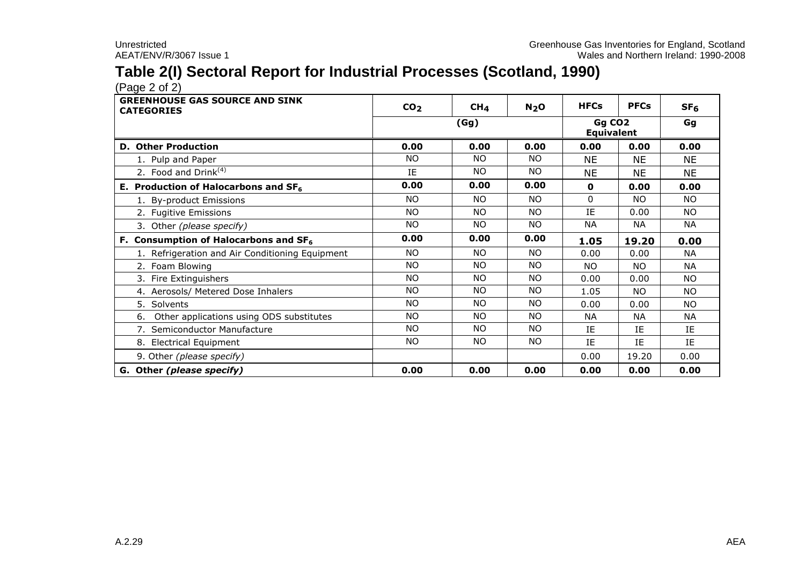## **Table 2(I) Sectoral Report for Industrial Processes (Scotland, 1990)**

 $(Pa^2 \circ 2)$ 

| <b>GREENHOUSE GAS SOURCE AND SINK</b><br><b>CATEGORIES</b> | CO <sub>2</sub> | CH <sub>4</sub> | N <sub>2</sub> O | <b>HFCs</b>                             | <b>PFCs</b> | SF <sub>6</sub> |
|------------------------------------------------------------|-----------------|-----------------|------------------|-----------------------------------------|-------------|-----------------|
|                                                            |                 | (Gg)            |                  | Gg CO <sub>2</sub><br><b>Equivalent</b> |             | Gg              |
| <b>D. Other Production</b>                                 | 0.00            | 0.00            | 0.00             | 0.00                                    | 0.00        | 0.00            |
| 1. Pulp and Paper                                          | NO.             | <b>NO</b>       | <b>NO</b>        | <b>NE</b>                               | <b>NE</b>   | <b>NE</b>       |
| 2. Food and Drink <sup>(4)</sup>                           | IE              | <b>NO</b>       | NO.              | <b>NE</b>                               | <b>NE</b>   | <b>NE</b>       |
| E. Production of Halocarbons and $SF6$                     | 0.00            | 0.00            | 0.00             | $\mathbf{o}$                            | 0.00        | 0.00            |
| 1. By-product Emissions                                    | NO.             | <b>NO</b>       | NO.              | $\Omega$                                | NO.         | NO.             |
| 2. Fugitive Emissions                                      | NO.             | NO.             | NO.              | IE                                      | 0.00        | NO.             |
| 3. Other (please specify)                                  | NO.             | <b>NO</b>       | NO.              | <b>NA</b>                               | <b>NA</b>   | <b>NA</b>       |
| F. Consumption of Halocarbons and SF <sub>6</sub>          | 0.00            | 0.00            | 0.00             | 1.05                                    | 19.20       | 0.00            |
| 1. Refrigeration and Air Conditioning Equipment            | NO.             | NO.             | <b>NO</b>        | 0.00                                    | 0.00        | <b>NA</b>       |
| 2. Foam Blowing                                            | <b>NO</b>       | <b>NO</b>       | NO.              | NO.                                     | NO.         | <b>NA</b>       |
| 3. Fire Extinguishers                                      | NO.             | <b>NO</b>       | NO.              | 0.00                                    | 0.00        | NO.             |
| 4. Aerosols/ Metered Dose Inhalers                         | <b>NO</b>       | NO.             | NO.              | 1.05                                    | NO.         | NO.             |
| 5. Solvents                                                | NO.             | NO.             | NO.              | 0.00                                    | 0.00        | NO.             |
| Other applications using ODS substitutes<br>6.             | NO.             | <b>NO</b>       | NO.              | NA.                                     | NА          | <b>NA</b>       |
| 7. Semiconductor Manufacture                               | <b>NO</b>       | <b>NO</b>       | NO.              | ΙE                                      | IE          | IE              |
| 8. Electrical Equipment                                    | NO.             | NO.             | NO.              | IE                                      | IE          | IE              |
| 9. Other (please specify)                                  |                 |                 |                  | 0.00                                    | 19.20       | 0.00            |
| G. Other (please specify)                                  | 0.00            | 0.00            | 0.00             | 0.00                                    | 0.00        | 0.00            |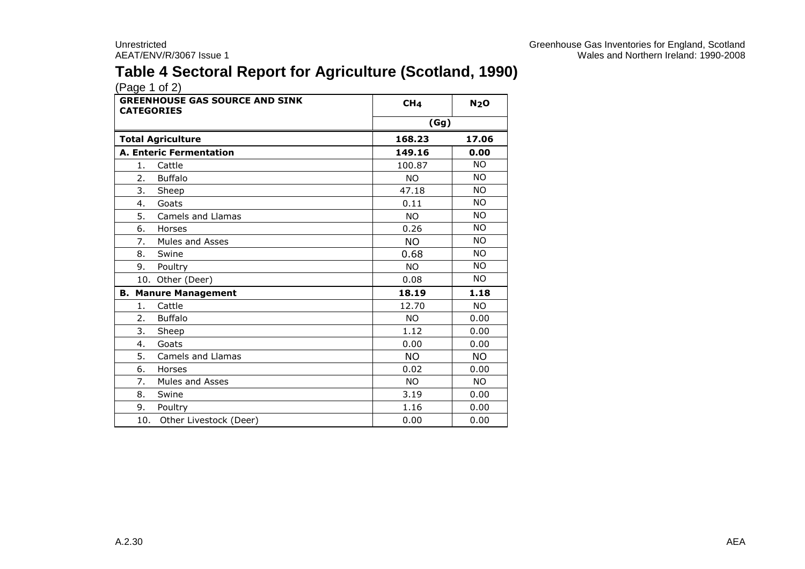## **Table 4 Sectoral Report for Agriculture (Scotland, 1990)**

| <b>GREENHOUSE GAS SOURCE AND SINK</b><br><b>CATEGORIES</b> | CH <sub>4</sub> | N <sub>2</sub> O |
|------------------------------------------------------------|-----------------|------------------|
|                                                            | (Gg)            |                  |
| <b>Total Agriculture</b>                                   | 168.23          | 17.06            |
| <b>A. Enteric Fermentation</b>                             | 149.16          | 0.00             |
| Cattle<br>1.                                               | 100.87          | NO.              |
| 2.<br><b>Buffalo</b>                                       | NO.             | NO.              |
| 3.<br>Sheep                                                | 47.18           | <b>NO</b>        |
| Goats<br>4.                                                | 0.11            | <b>NO</b>        |
| 5.<br>Camels and Llamas                                    | <b>NO</b>       | <b>NO</b>        |
| Horses<br>6.                                               | 0.26            | <b>NO</b>        |
| Mules and Asses<br>7.                                      | <b>NO</b>       | <b>NO</b>        |
| 8.<br>Swine                                                | 0.68            | NO.              |
| 9.<br>Poultry                                              | <b>NO</b>       | <b>NO</b>        |
| 10. Other (Deer)                                           | 0.08            | NO.              |
| <b>B. Manure Management</b>                                | 18.19           | 1.18             |
| Cattle<br>1.                                               | 12.70           | NO.              |
| <b>Buffalo</b><br>2.                                       | <b>NO</b>       | 0.00             |
| 3.<br>Sheep                                                | 1.12            | 0.00             |
| Goats<br>4.                                                | 0.00            | 0.00             |
| 5.<br>Camels and Llamas                                    | NO.             | NO.              |
| 6.<br>Horses                                               | 0.02            | 0.00             |
| 7.<br><b>Mules and Asses</b>                               | <b>NO</b>       | <b>NO</b>        |
| 8.<br>Swine                                                | 3.19            | 0.00             |
| 9.<br>Poultry                                              | 1.16            | 0.00             |
| 10. Other Livestock (Deer)                                 | 0.00            | 0.00             |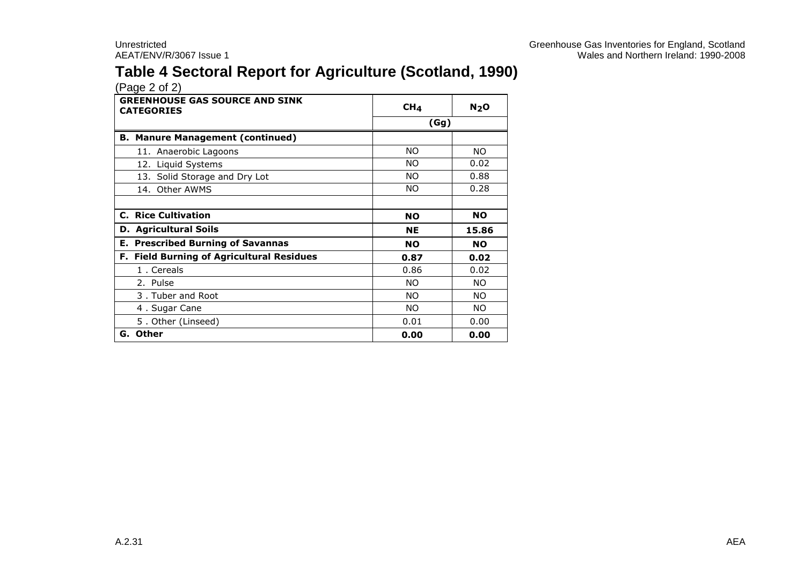## **Table 4 Sectoral Report for Agriculture (Scotland, 1990)**

| <b>GREENHOUSE GAS SOURCE AND SINK</b><br><b>CATEGORIES</b> | CH <sub>4</sub> |           |
|------------------------------------------------------------|-----------------|-----------|
|                                                            | (Gg)            |           |
| <b>B. Manure Management (continued)</b>                    |                 |           |
| 11. Anaerobic Lagoons                                      | NO.             | NO.       |
| 12. Liquid Systems                                         | NO.             | 0.02      |
| 13. Solid Storage and Dry Lot                              | NO.             | 0.88      |
| 14. Other AWMS                                             | NO.             | 0.28      |
|                                                            |                 |           |
| <b>C. Rice Cultivation</b>                                 | <b>NO</b>       | <b>NO</b> |
| <b>D. Agricultural Soils</b>                               | <b>NE</b>       | 15.86     |
| <b>E. Prescribed Burning of Savannas</b>                   | <b>NO</b>       | <b>NO</b> |
| F. Field Burning of Agricultural Residues                  | 0.87            | 0.02      |
| 1. Cereals                                                 | 0.86            | 0.02      |
| 2. Pulse                                                   | NO.             | NO.       |
| 3. Tuber and Root                                          | NO.             | NO.       |
| 4. Sugar Cane                                              | <b>NO</b>       | NO.       |
| 5. Other (Linseed)                                         | 0.01            | 0.00      |
| G. Other                                                   | 0.00            | 0.00      |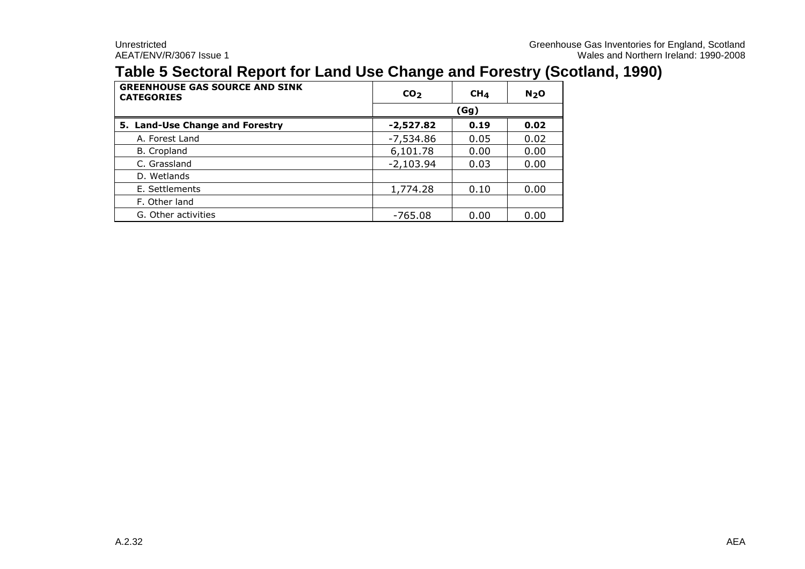## **Table 5 Sectoral Report for Land Use Change and Forestry (Scotland, 1990)**

| <b>GREENHOUSE GAS SOURCE AND SINK</b><br><b>CATEGORIES</b> | CO <sub>2</sub> | CH <sub>4</sub> | N <sub>2</sub> O |  |  |  |
|------------------------------------------------------------|-----------------|-----------------|------------------|--|--|--|
|                                                            |                 | (Gg)            |                  |  |  |  |
| 5. Land-Use Change and Forestry                            | -2,527.82       | 0.19            | 0.02             |  |  |  |
| A. Forest Land                                             | $-7,534.86$     | 0.05            | 0.02             |  |  |  |
| B. Cropland                                                | 6,101.78        | 0.00            | 0.00             |  |  |  |
| C. Grassland                                               | $-2,103.94$     | 0.03            | 0.00             |  |  |  |
| D. Wetlands                                                |                 |                 |                  |  |  |  |
| E. Settlements                                             | 1,774.28        | 0.10            | 0.00             |  |  |  |
| F. Other land                                              |                 |                 |                  |  |  |  |
| G. Other activities                                        | $-765.08$       | 0.00            | 0.00             |  |  |  |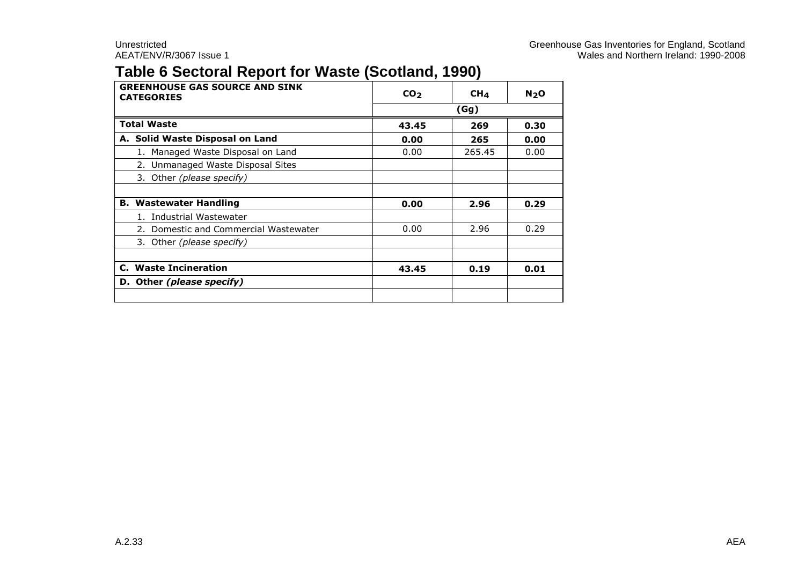#### **Table 6 Sectoral Report for Waste (Scotland, 1990)**

| <b>GREENHOUSE GAS SOURCE AND SINK</b><br><b>CATEGORIES</b> | CO <sub>2</sub>      | CH <sub>4</sub> | N <sub>2</sub> O |  |  |
|------------------------------------------------------------|----------------------|-----------------|------------------|--|--|
|                                                            |                      | (Gg)            |                  |  |  |
| <b>Total Waste</b>                                         | 43.45<br>269<br>0.30 |                 |                  |  |  |
| A. Solid Waste Disposal on Land                            | 0.00                 | 265             | 0.00             |  |  |
| 1. Managed Waste Disposal on Land                          | 0.00                 | 265.45          | 0.00             |  |  |
| 2. Unmanaged Waste Disposal Sites                          |                      |                 |                  |  |  |
| 3. Other (please specify)                                  |                      |                 |                  |  |  |
|                                                            |                      |                 |                  |  |  |
| <b>B. Wastewater Handling</b>                              | 0.00                 | 2.96            | 0.29             |  |  |
| 1. Industrial Wastewater                                   |                      |                 |                  |  |  |
| 2. Domestic and Commercial Wastewater                      | 0.00                 | 2.96            | 0.29             |  |  |
| 3. Other (please specify)                                  |                      |                 |                  |  |  |
|                                                            |                      |                 |                  |  |  |
| C. Waste Incineration                                      | 43.45                | 0.19            | 0.01             |  |  |
| D. Other (please specify)                                  |                      |                 |                  |  |  |
|                                                            |                      |                 |                  |  |  |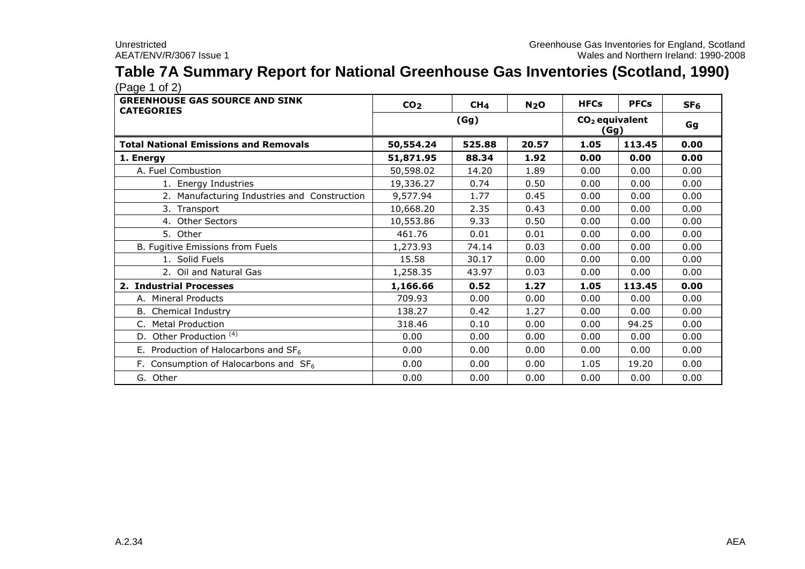## **Table 7A Summary Report for National Greenhouse Gas Inventories (Scotland, 1990)**

| <b>GREENHOUSE GAS SOURCE AND SINK</b><br><b>CATEGORIES</b> | CO <sub>2</sub> | CH <sub>4</sub> | N <sub>2</sub> O | <b>HFCs</b>                     | <b>PFCs</b> | SF <sub>6</sub> |
|------------------------------------------------------------|-----------------|-----------------|------------------|---------------------------------|-------------|-----------------|
|                                                            | (Gg)            |                 |                  | $CO2$ equivalent<br><u>(Gg)</u> | Gg          |                 |
| <b>Total National Emissions and Removals</b>               | 50,554.24       | 525.88          | 20.57            | 1.05                            | 113.45      | 0.00            |
| 1. Energy                                                  | 51,871.95       | 88.34           | 1.92             | 0.00                            | 0.00        | 0.00            |
| A. Fuel Combustion                                         | 50,598.02       | 14.20           | 1.89             | 0.00                            | 0.00        | 0.00            |
| 1. Energy Industries                                       | 19,336.27       | 0.74            | 0.50             | 0.00                            | 0.00        | 0.00            |
| 2. Manufacturing Industries and Construction               | 9,577.94        | 1.77            | 0.45             | 0.00                            | 0.00        | 0.00            |
| 3. Transport                                               | 10,668.20       | 2.35            | 0.43             | 0.00                            | 0.00        | 0.00            |
| 4. Other Sectors                                           | 10,553.86       | 9.33            | 0.50             | 0.00                            | 0.00        | 0.00            |
| 5. Other                                                   | 461.76          | 0.01            | 0.01             | 0.00                            | 0.00        | 0.00            |
| B. Fugitive Emissions from Fuels                           | 1,273.93        | 74.14           | 0.03             | 0.00                            | 0.00        | 0.00            |
| 1. Solid Fuels                                             | 15.58           | 30.17           | 0.00             | 0.00                            | 0.00        | 0.00            |
| 2. Oil and Natural Gas                                     | 1,258.35        | 43.97           | 0.03             | 0.00                            | 0.00        | 0.00            |
| 2. Industrial Processes                                    | 1,166.66        | 0.52            | 1.27             | 1.05                            | 113.45      | 0.00            |
| A. Mineral Products                                        | 709.93          | 0.00            | 0.00             | 0.00                            | 0.00        | 0.00            |
| <b>B.</b> Chemical Industry                                | 138.27          | 0.42            | 1.27             | 0.00                            | 0.00        | 0.00            |
| C. Metal Production                                        | 318.46          | 0.10            | 0.00             | 0.00                            | 94.25       | 0.00            |
| D. Other Production <sup>(4)</sup>                         | 0.00            | 0.00            | 0.00             | 0.00                            | 0.00        | 0.00            |
| E. Production of Halocarbons and $SF6$                     | 0.00            | 0.00            | 0.00             | 0.00                            | 0.00        | 0.00            |
| F. Consumption of Halocarbons and $SF6$                    | 0.00            | 0.00            | 0.00             | 1.05                            | 19.20       | 0.00            |
| G. Other                                                   | 0.00            | 0.00            | 0.00             | 0.00                            | 0.00        | 0.00            |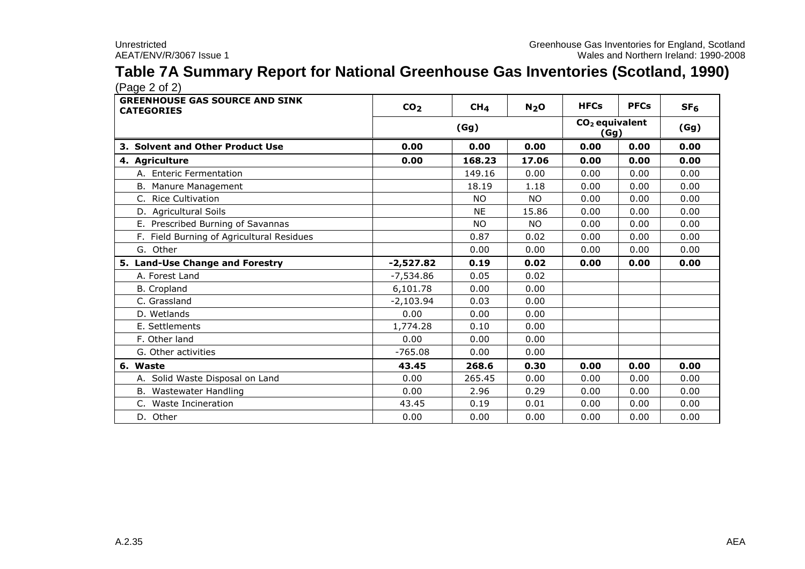# **Table 7A Summary Report for National Greenhouse Gas Inventories (Scotland, 1990)**

| <b>GREENHOUSE GAS SOURCE AND SINK</b><br><b>CATEGORIES</b> | CO <sub>2</sub> | CH <sub>4</sub> | N <sub>2</sub> O | <b>HFCs</b>              | <b>PFCs</b> | SF <sub>6</sub> |
|------------------------------------------------------------|-----------------|-----------------|------------------|--------------------------|-------------|-----------------|
|                                                            | (Gg)            |                 |                  | $CO2$ equivalent<br>(Gg) |             | (Gg)            |
| 3. Solvent and Other Product Use                           | 0.00            | 0.00            | 0.00             | 0.00                     | 0.00        | 0.00            |
| 4. Agriculture                                             | 0.00            | 168.23          | 17.06            | 0.00                     | 0.00        | 0.00            |
| A. Enteric Fermentation                                    |                 | 149.16          | 0.00             | 0.00                     | 0.00        | 0.00            |
| B. Manure Management                                       |                 | 18.19           | 1.18             | 0.00                     | 0.00        | 0.00            |
| C. Rice Cultivation                                        |                 | <b>NO</b>       | <b>NO</b>        | 0.00                     | 0.00        | 0.00            |
| D. Agricultural Soils                                      |                 | <b>NE</b>       | 15.86            | 0.00                     | 0.00        | 0.00            |
| E. Prescribed Burning of Savannas                          |                 | <b>NO</b>       | <b>NO</b>        | 0.00                     | 0.00        | 0.00            |
| F. Field Burning of Agricultural Residues                  |                 | 0.87            | 0.02             | 0.00                     | 0.00        | 0.00            |
| G. Other                                                   |                 | 0.00            | 0.00             | 0.00                     | 0.00        | 0.00            |
| 5. Land-Use Change and Forestry                            | $-2,527.82$     | 0.19            | 0.02             | 0.00                     | 0.00        | 0.00            |
| A. Forest Land                                             | $-7,534.86$     | 0.05            | 0.02             |                          |             |                 |
| <b>B.</b> Cropland                                         | 6,101.78        | 0.00            | 0.00             |                          |             |                 |
| C. Grassland                                               | $-2,103.94$     | 0.03            | 0.00             |                          |             |                 |
| D. Wetlands                                                | 0.00            | 0.00            | 0.00             |                          |             |                 |
| E. Settlements                                             | 1,774.28        | 0.10            | 0.00             |                          |             |                 |
| F. Other land                                              | 0.00            | 0.00            | 0.00             |                          |             |                 |
| G. Other activities                                        | $-765.08$       | 0.00            | 0.00             |                          |             |                 |
| 6. Waste                                                   | 43.45           | 268.6           | 0.30             | 0.00                     | 0.00        | 0.00            |
| A. Solid Waste Disposal on Land                            | 0.00            | 265.45          | 0.00             | 0.00                     | 0.00        | 0.00            |
| B. Wastewater Handling                                     | 0.00            | 2.96            | 0.29             | 0.00                     | 0.00        | 0.00            |
| C. Waste Incineration                                      | 43.45           | 0.19            | 0.01             | 0.00                     | 0.00        | 0.00            |
| D. Other                                                   | 0.00            | 0.00            | 0.00             | 0.00                     | 0.00        | 0.00            |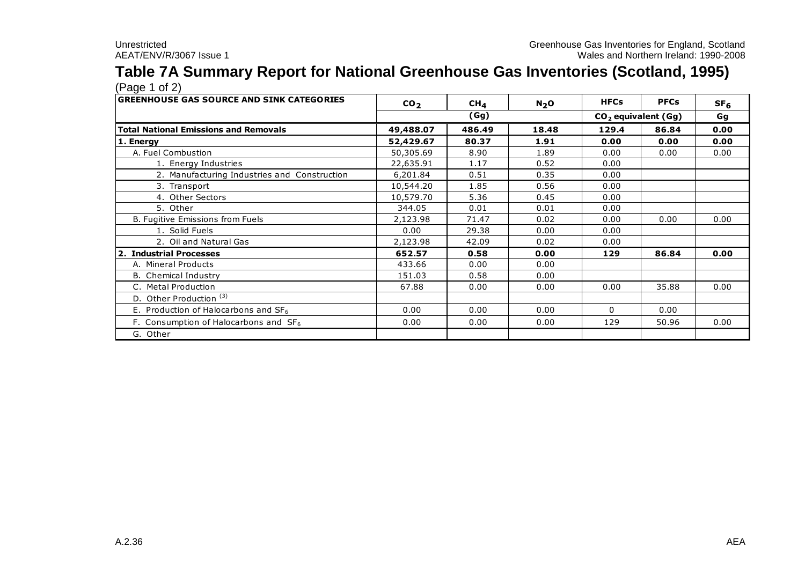#### **Table 7A Summary Report for National Greenhouse Gas Inventories (Scotland, 1995)**  $(Pane 1 of 2)$

| Wales and Northern Ireland: 1990-2008<br>AEAT/ENV/R/3067 Issue 1                                                         |                 |
|--------------------------------------------------------------------------------------------------------------------------|-----------------|
|                                                                                                                          |                 |
| Table 7A Summary Report for National Greenhouse Gas Inventories (Scotland, 1995)                                         |                 |
| (Page 1 of 2)                                                                                                            |                 |
| <b>GREENHOUSE GAS SOURCE AND SINK CATEGORIES</b><br><b>HFCs</b><br><b>PFCs</b><br>CO <sub>2</sub><br>$CH_{4}$<br>$N_2$ O | SF <sub>6</sub> |
| (Gg)<br>$CO2$ equivalent (Gg)                                                                                            | Gq              |
| <b>Total National Emissions and Removals</b><br>486.49<br>49,488.07<br>18.48<br>129.4<br>86.84                           | 0.00            |
| 52,429.67<br>80.37<br>1. Energy<br>1.91<br>0.00<br>0.00                                                                  | 0.00            |
| A. Fuel Combustion<br>50,305.69<br>8.90<br>1.89<br>0.00<br>0.00                                                          | 0.00            |
| 0.52<br>1. Energy Industries<br>22,635.91<br>0.00<br>1.17                                                                |                 |
| 2. Manufacturing Industries and Construction<br>0.35<br>6,201.84<br>0.51<br>0.00                                         |                 |
| 0.56<br>10,544.20<br>1.85<br>0.00<br>3. Transport                                                                        |                 |
| 4. Other Sectors<br>5.36<br>10,579.70<br>0.45<br>0.00                                                                    |                 |
| 5. Other<br>344.05<br>0.01<br>0.01<br>0.00                                                                               |                 |
| B. Fugitive Emissions from Fuels<br>0.02<br>0.00<br>0.00<br>2,123.98<br>71.47                                            | 0.00            |
| 1. Solid Fuels<br>0.00<br>29.38<br>0.00<br>0.00                                                                          |                 |
| 2. Oil and Natural Gas<br>2,123.98<br>42.09<br>0.02<br>0.00                                                              |                 |
| 2. Industrial Processes<br>652.57<br>0.58<br>0.00<br>86.84<br>129                                                        | 0.00            |
| A. Mineral Products<br>433.66<br>0.00<br>0.00                                                                            |                 |
| <b>B.</b> Chemical Industry<br>0.00<br>151.03<br>0.58                                                                    |                 |
| 0.00<br>35.88<br>C. Metal Production<br>67.88<br>0.00<br>0.00                                                            | 0.00            |
| D. Other Production <sup>(3)</sup>                                                                                       |                 |
| E. Production of Halocarbons and $SF6$<br>0.00<br>0.00<br>0.00<br>$\Omega$<br>0.00                                       |                 |
| F. Consumption of Halocarbons and $SF6$<br>0.00<br>0.00<br>50.96<br>0.00<br>129                                          | 0.00            |
| G. Other                                                                                                                 |                 |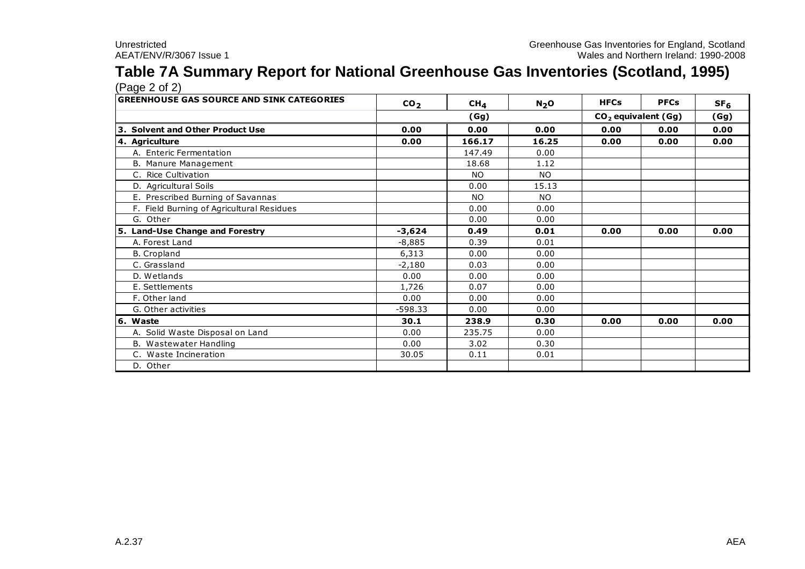#### **Table 7A Summary Report for National Greenhouse Gas Inventories (Scotland, 1995)** (Page 2 of 2)

| Unrestricted<br>Greenhouse Gas Inventories for England, Scotland<br>Wales and Northern Ireland: 1990-2008<br>AEAT/ENV/R/3067 Issue 1 |                 |                 |                  |             |                       |                 |
|--------------------------------------------------------------------------------------------------------------------------------------|-----------------|-----------------|------------------|-------------|-----------------------|-----------------|
|                                                                                                                                      |                 |                 |                  |             |                       |                 |
| Table 7A Summary Report for National Greenhouse Gas Inventories (Scotland, 1995)                                                     |                 |                 |                  |             |                       |                 |
| (Page 2 of 2)                                                                                                                        |                 |                 |                  |             |                       |                 |
| <b>GREENHOUSE GAS SOURCE AND SINK CATEGORIES</b>                                                                                     | CO <sub>2</sub> | CH <sub>4</sub> | N <sub>2</sub> O | <b>HFCs</b> | <b>PFCs</b>           | SF <sub>6</sub> |
|                                                                                                                                      |                 | (Gg)            |                  |             | $CO2$ equivalent (Gg) | (Gg)            |
| 3. Solvent and Other Product Use                                                                                                     | 0.00            | 0.00            | 0.00             | 0.00        | 0.00                  | 0.00            |
| 4. Agriculture                                                                                                                       | 0.00            | 166.17          | 16.25            | 0.00        | 0.00                  | 0.00            |
| A. Enteric Fermentation                                                                                                              |                 | 147.49          | 0.00             |             |                       |                 |
| B. Manure Management                                                                                                                 |                 | 18.68           | 1.12             |             |                       |                 |
| C. Rice Cultivation                                                                                                                  |                 | NO.             | <b>NO</b>        |             |                       |                 |
| D. Agricultural Soils                                                                                                                |                 | 0.00            | 15.13            |             |                       |                 |
| E. Prescribed Burning of Savannas                                                                                                    |                 | <b>NO</b>       | <b>NO</b>        |             |                       |                 |
| F. Field Burning of Agricultural Residues                                                                                            |                 | 0.00            | 0.00             |             |                       |                 |
| G. Other                                                                                                                             |                 | 0.00            | 0.00             |             |                       |                 |
| 5. Land-Use Change and Forestry                                                                                                      | $-3,624$        | 0.49            | 0.01             | 0.00        | 0.00                  | 0.00            |
| A. Forest Land                                                                                                                       | $-8,885$        | 0.39            | 0.01             |             |                       |                 |
| <b>B.</b> Cropland                                                                                                                   | 6,313           | 0.00            | 0.00             |             |                       |                 |
| C. Grassland                                                                                                                         | $-2,180$        | 0.03            | 0.00             |             |                       |                 |
| D. Wetlands                                                                                                                          | 0.00            | 0.00            | 0.00             |             |                       |                 |
| E. Settlements                                                                                                                       | 1,726           | 0.07            | 0.00             |             |                       |                 |
| F. Other land                                                                                                                        | 0.00            | 0.00            | 0.00             |             |                       |                 |
| G. Other activities                                                                                                                  | $-598.33$       | 0.00            | 0.00             |             |                       |                 |
| 6. Waste                                                                                                                             | 30.1            | 238.9           | 0.30             | 0.00        | 0.00                  | 0.00            |
| A. Solid Waste Disposal on Land                                                                                                      | 0.00            | 235.75          | 0.00             |             |                       |                 |
| B. Wastewater Handling                                                                                                               | 0.00            | 3.02            | 0.30             |             |                       |                 |
| C. Waste Incineration                                                                                                                | 30.05           | 0.11            | 0.01             |             |                       |                 |
| D. Other                                                                                                                             |                 |                 |                  |             |                       |                 |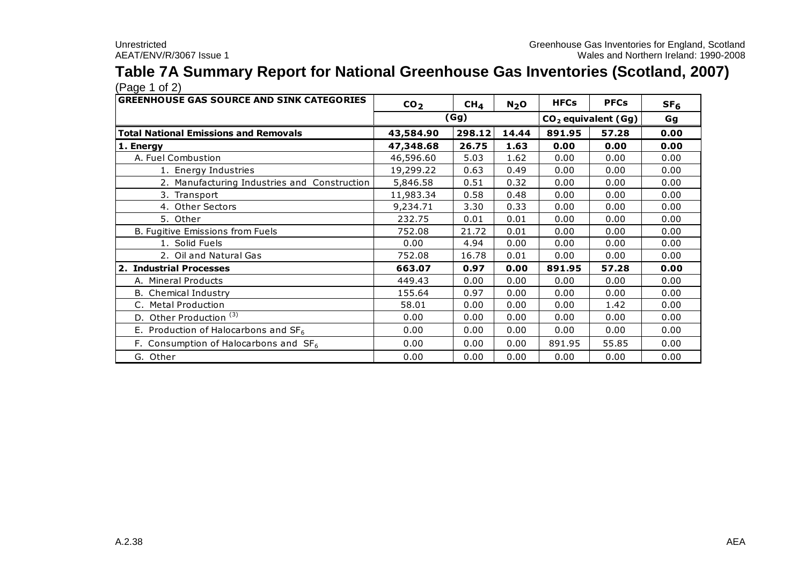# **Table 7A Summary Report for National Greenhouse Gas Inventories (Scotland, 2007)**

| <b>GREENHOUSE GAS SOURCE AND SINK CATEGORIES</b> | CO <sub>2</sub> | CH <sub>4</sub> | N <sub>2</sub> O | <b>HFCs</b> | <b>PFCs</b>                     | SF <sub>6</sub> |
|--------------------------------------------------|-----------------|-----------------|------------------|-------------|---------------------------------|-----------------|
|                                                  |                 | (Gg)            |                  |             | CO <sub>2</sub> equivalent (Gg) | Gq              |
| <b>Total National Emissions and Removals</b>     | 43,584.90       | 298.12          | 14.44            | 891.95      | 57.28                           | 0.00            |
| 1. Energy                                        | 47,348.68       | 26.75           | 1.63             | 0.00        | 0.00                            | 0.00            |
| A. Fuel Combustion                               | 46,596.60       | 5.03            | 1.62             | 0.00        | 0.00                            | 0.00            |
| 1. Energy Industries                             | 19,299.22       | 0.63            | 0.49             | 0.00        | 0.00                            | 0.00            |
| 2. Manufacturing Industries and Construction     | 5,846.58        | 0.51            | 0.32             | 0.00        | 0.00                            | 0.00            |
| 3. Transport                                     | 11,983.34       | 0.58            | 0.48             | 0.00        | 0.00                            | 0.00            |
| 4. Other Sectors                                 | 9,234.71        | 3.30            | 0.33             | 0.00        | 0.00                            | 0.00            |
| 5. Other                                         | 232.75          | 0.01            | 0.01             | 0.00        | 0.00                            | 0.00            |
| B. Fugitive Emissions from Fuels                 | 752.08          | 21.72           | 0.01             | 0.00        | 0.00                            | 0.00            |
| 1. Solid Fuels                                   | 0.00            | 4.94            | 0.00             | 0.00        | 0.00                            | 0.00            |
| 2. Oil and Natural Gas                           | 752.08          | 16.78           | 0.01             | 0.00        | 0.00                            | 0.00            |
| 2. Industrial Processes                          | 663.07          | 0.97            | 0.00             | 891.95      | 57.28                           | 0.00            |
| A. Mineral Products                              | 449.43          | 0.00            | 0.00             | 0.00        | 0.00                            | 0.00            |
| <b>B.</b> Chemical Industry                      | 155.64          | 0.97            | 0.00             | 0.00        | 0.00                            | 0.00            |
| C. Metal Production                              | 58.01           | 0.00            | 0.00             | 0.00        | 1.42                            | 0.00            |
| D. Other Production <sup>(3)</sup>               | 0.00            | 0.00            | 0.00             | 0.00        | 0.00                            | 0.00            |
| E. Production of Halocarbons and $SF_6$          | 0.00            | 0.00            | 0.00             | 0.00        | 0.00                            | 0.00            |
| F. Consumption of Halocarbons and $SF_6$         | 0.00            | 0.00            | 0.00             | 891.95      | 55.85                           | 0.00            |
| G. Other                                         | 0.00            | 0.00            | 0.00             | 0.00        | 0.00                            | 0.00            |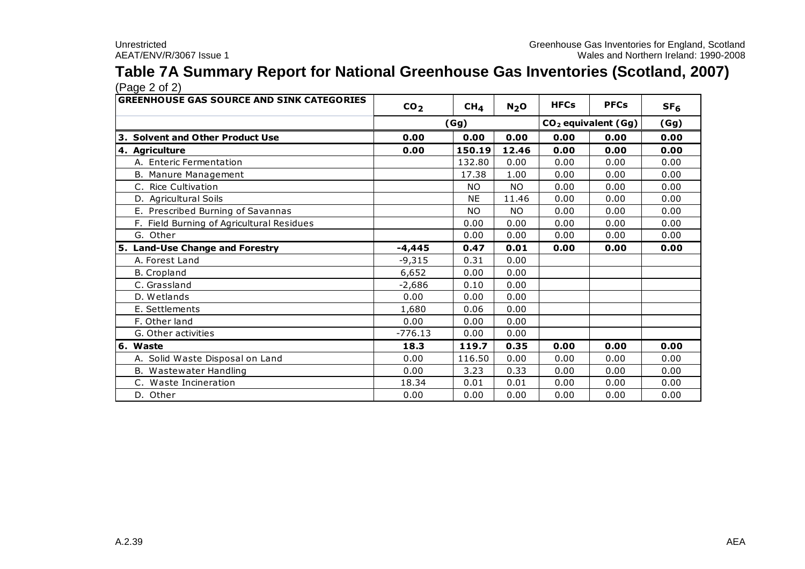# **Table 7A Summary Report for National Greenhouse Gas Inventories (Scotland, 2007)**

| AEAT/ENV/R/3067 Issue 1                                                       |                 |                 |                  |             | Wales and Northern Ireland: 1   |                 |
|-------------------------------------------------------------------------------|-----------------|-----------------|------------------|-------------|---------------------------------|-----------------|
| Table 7A Summary Report for National Greenhouse Gas Inventories (Scotland, 20 |                 |                 |                  |             |                                 |                 |
| (Page 2 of 2)                                                                 |                 |                 |                  |             |                                 |                 |
| <b>GREENHOUSE GAS SOURCE AND SINK CATEGORIES</b>                              | CO <sub>2</sub> | CH <sub>4</sub> | N <sub>2</sub> O | <b>HFCs</b> | <b>PFCs</b>                     | SF <sub>6</sub> |
|                                                                               | (Gg)            |                 |                  |             | CO <sub>2</sub> equivalent (Gg) | (Gg)            |
| 3. Solvent and Other Product Use                                              | 0.00            | 0.00            | 0.00             | 0.00        | 0.00                            | 0.00            |
| 4. Agriculture                                                                | 0.00            | 150.19          | 12.46            | 0.00        | 0.00                            | 0.00            |
| A. Enteric Fermentation                                                       |                 | 132.80          | 0.00             | 0.00        | 0.00                            | 0.00            |
| B. Manure Management                                                          |                 | 17.38           | 1.00             | 0.00        | 0.00                            | 0.00            |
| C. Rice Cultivation                                                           |                 | <b>NO</b>       | NO.              | 0.00        | 0.00                            | 0.00            |
| D. Agricultural Soils                                                         |                 | <b>NE</b>       | 11.46            | 0.00        | 0.00                            | 0.00            |
| E. Prescribed Burning of Savannas                                             |                 | <b>NO</b>       | NO.              | 0.00        | 0.00                            | 0.00            |
| F. Field Burning of Agricultural Residues                                     |                 | 0.00            | 0.00             | 0.00        | 0.00                            | 0.00            |
| G. Other                                                                      |                 | 0.00            | 0.00             | 0.00        | 0.00                            | 0.00            |
| 5. Land-Use Change and Forestry                                               | $-4,445$        | 0.47            | 0.01             | 0.00        | 0.00                            | 0.00            |
| A. Forest Land                                                                | $-9,315$        | 0.31            | 0.00             |             |                                 |                 |
| <b>B.</b> Cropland                                                            | 6,652           | 0.00            | 0.00             |             |                                 |                 |
| C. Grassland                                                                  | $-2,686$        | 0.10            | 0.00             |             |                                 |                 |
| D. Wetlands                                                                   | 0.00            | 0.00            | 0.00             |             |                                 |                 |
| E. Settlements                                                                | 1,680           | 0.06            | 0.00             |             |                                 |                 |
| F. Other land                                                                 | 0.00            | 0.00            | 0.00             |             |                                 |                 |
| G. Other activities                                                           | $-776.13$       | 0.00            | 0.00             |             |                                 |                 |
| 6. Waste                                                                      | 18.3            | 119.7           | 0.35             | 0.00        | 0.00                            | 0.00            |
| A. Solid Waste Disposal on Land                                               | 0.00            | 116.50          | 0.00             | 0.00        | 0.00                            | 0.00            |
| B. Wastewater Handling                                                        | 0.00            | 3.23            | 0.33             | 0.00        | 0.00                            | 0.00            |
| C. Waste Incineration                                                         | 18.34           | 0.01            | 0.01             | 0.00        | 0.00                            | 0.00            |
| D. Other                                                                      | 0.00            | 0.00            | 0.00             | 0.00        | 0.00                            | 0.00            |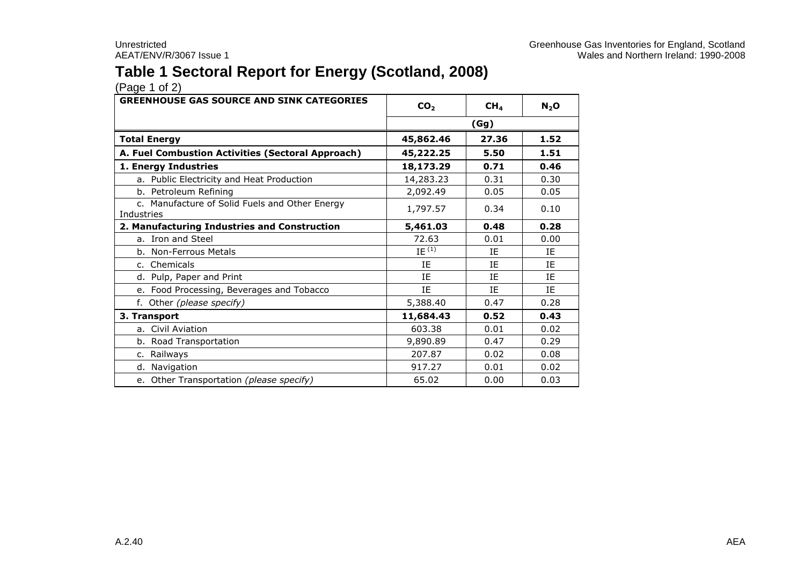## **Table 1 Sectoral Report for Energy (Scotland, 2008)**

| <b>GREENHOUSE GAS SOURCE AND SINK CATEGORIES</b>             | CO <sub>2</sub> | CH <sub>4</sub> | $N_2$ O |
|--------------------------------------------------------------|-----------------|-----------------|---------|
|                                                              | (Gg)            |                 |         |
| <b>Total Energy</b>                                          | 45,862.46       | 27.36           | 1.52    |
| A. Fuel Combustion Activities (Sectoral Approach)            | 45,222.25       | 5.50            | 1.51    |
| 1. Energy Industries                                         | 18,173.29       | 0.71            | 0.46    |
| a. Public Electricity and Heat Production                    | 14,283.23       | 0.31            | 0.30    |
| b. Petroleum Refining                                        | 2,092.49        | 0.05            | 0.05    |
| c. Manufacture of Solid Fuels and Other Energy<br>Industries | 1,797.57        | 0.34            | 0.10    |
| 2. Manufacturing Industries and Construction                 | 5,461.03        | 0.48            | 0.28    |
| a. Iron and Steel                                            | 72.63           | 0.01            | 0.00    |
| b. Non-Ferrous Metals                                        | IE $(1)$        | ΙF              | ΙF      |
| c. Chemicals                                                 | IE              | ΙE              | ΙE      |
| d. Pulp, Paper and Print                                     | IE              | IE              | ΙE      |
| e. Food Processing, Beverages and Tobacco                    | IE              | ΙF              | IF.     |
| f. Other (please specify)                                    | 5,388.40        | 0.47            | 0.28    |
| 3. Transport                                                 | 11,684.43       | 0.52            | 0.43    |
| a. Civil Aviation                                            | 603.38          | 0.01            | 0.02    |
| b. Road Transportation                                       | 9,890.89        | 0.47            | 0.29    |
| c. Railways                                                  | 207.87          | 0.02            | 0.08    |
| d. Navigation                                                | 917.27          | 0.01            | 0.02    |
| e. Other Transportation (please specify)                     | 65.02           | 0.00            | 0.03    |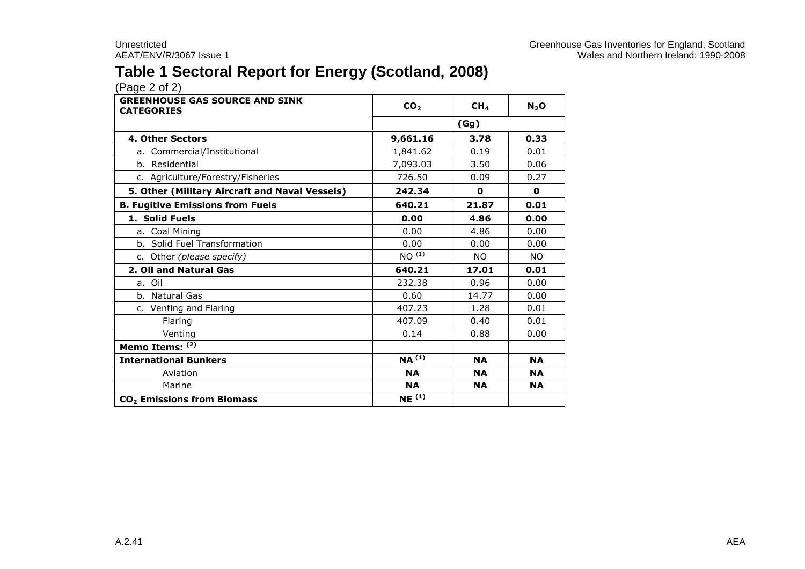## **Table 1 Sectoral Report for Energy (Scotland, 2008)**

| <b>GREENHOUSE GAS SOURCE AND SINK</b><br><b>CATEGORIES</b> | CO <sub>2</sub>   | CH <sub>4</sub> | $N_2$ O      |  |
|------------------------------------------------------------|-------------------|-----------------|--------------|--|
|                                                            | (Gg)              |                 |              |  |
| <b>4. Other Sectors</b>                                    | 9,661.16          | 3.78            | 0.33         |  |
| a. Commercial/Institutional                                | 1,841.62          | 0.19            | 0.01         |  |
| b. Residential                                             | 7,093.03          | 3.50            | 0.06         |  |
| c. Agriculture/Forestry/Fisheries                          | 726.50            | 0.09            | 0.27         |  |
| 5. Other (Military Aircraft and Naval Vessels)             | 242.34            | 0               | $\mathbf{o}$ |  |
| <b>B. Fugitive Emissions from Fuels</b>                    | 640.21            | 21.87           | 0.01         |  |
| 1. Solid Fuels                                             | 0.00              | 4.86            | 0.00         |  |
| a. Coal Mining                                             | 0.00              | 4.86            | 0.00         |  |
| b. Solid Fuel Transformation                               | 0.00              | 0.00            | 0.00         |  |
| c. Other (please specify)                                  | NO <sup>(1)</sup> | <b>NO</b>       | <b>NO</b>    |  |
| 2. Oil and Natural Gas                                     | 640.21            | 17.01           | 0.01         |  |
| a. Oil                                                     | 232.38            | 0.96            | 0.00         |  |
| b. Natural Gas                                             | 0.60              | 14.77           | 0.00         |  |
| c. Venting and Flaring                                     | 407.23            | 1.28            | 0.01         |  |
| Flaring                                                    | 407.09            | 0.40            | 0.01         |  |
| Venting                                                    | 0.14              | 0.88            | 0.00         |  |
| Memo Items: (2)                                            |                   |                 |              |  |
| <b>International Bunkers</b>                               | $NA^{(1)}$        | <b>NA</b>       | <b>NA</b>    |  |
| Aviation                                                   | <b>NA</b>         | <b>NA</b>       | <b>NA</b>    |  |
| Marine                                                     | <b>NA</b>         | <b>NA</b>       | <b>NA</b>    |  |
| CO <sub>2</sub> Emissions from Biomass                     | NE <sup>(1)</sup> |                 |              |  |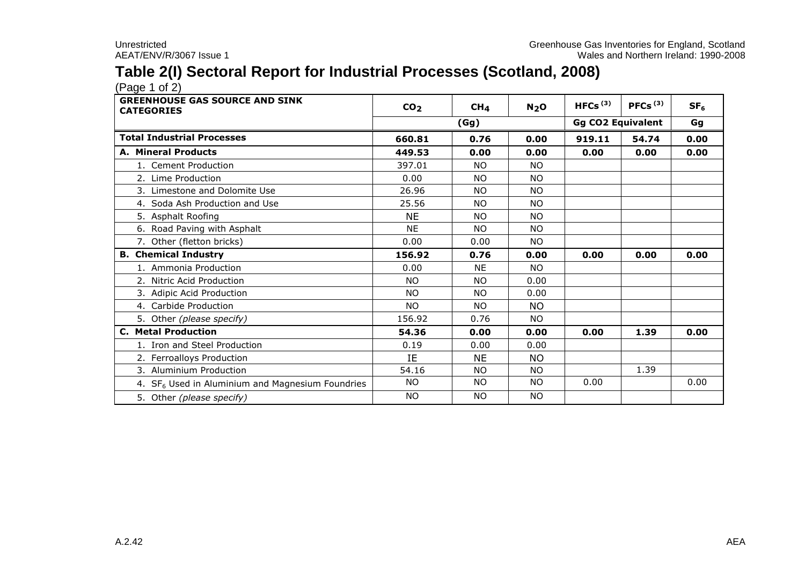## **Table 2(I) Sectoral Report for Industrial Processes (Scotland, 2008)**

 $(Pa^2 \cdot 1)$ 

| <b>GREENHOUSE GAS SOURCE AND SINK</b><br><b>CATEGORIES</b>   | CO <sub>2</sub> | CH <sub>4</sub> | N <sub>2</sub> O | HFCs <sup>(3)</sup>      | PFCs $(3)$ | SF <sub>6</sub> |
|--------------------------------------------------------------|-----------------|-----------------|------------------|--------------------------|------------|-----------------|
|                                                              | (Gg)            |                 |                  | <b>Gg CO2 Equivalent</b> |            | Gg              |
| <b>Total Industrial Processes</b>                            | 660.81          | 0.76            | 0.00             | 919.11                   | 54.74      | 0.00            |
| <b>A. Mineral Products</b>                                   | 449.53          | 0.00            | 0.00             | 0.00                     | 0.00       | 0.00            |
| 1. Cement Production                                         | 397.01          | <b>NO</b>       | <b>NO</b>        |                          |            |                 |
| 2. Lime Production                                           | 0.00            | <b>NO</b>       | <b>NO</b>        |                          |            |                 |
| 3. Limestone and Dolomite Use                                | 26.96           | <b>NO</b>       | <b>NO</b>        |                          |            |                 |
| 4. Soda Ash Production and Use                               | 25.56           | <b>NO</b>       | <b>NO</b>        |                          |            |                 |
| 5. Asphalt Roofing                                           | <b>NE</b>       | <b>NO</b>       | <b>NO</b>        |                          |            |                 |
| 6. Road Paving with Asphalt                                  | <b>NE</b>       | <b>NO</b>       | <b>NO</b>        |                          |            |                 |
| 7. Other (fletton bricks)                                    | 0.00            | 0.00            | <b>NO</b>        |                          |            |                 |
| <b>B. Chemical Industry</b>                                  | 156.92          | 0.76            | 0.00             | 0.00                     | 0.00       | 0.00            |
| 1. Ammonia Production                                        | 0.00            | <b>NE</b>       | <b>NO</b>        |                          |            |                 |
| 2. Nitric Acid Production                                    | <b>NO</b>       | <b>NO</b>       | 0.00             |                          |            |                 |
| 3. Adipic Acid Production                                    | <b>NO</b>       | <b>NO</b>       | 0.00             |                          |            |                 |
| 4. Carbide Production                                        | NO.             | <b>NO</b>       | <b>NO</b>        |                          |            |                 |
| 5. Other (please specify)                                    | 156.92          | 0.76            | NO.              |                          |            |                 |
| <b>C. Metal Production</b>                                   | 54.36           | 0.00            | 0.00             | 0.00                     | 1.39       | 0.00            |
| 1. Iron and Steel Production                                 | 0.19            | 0.00            | 0.00             |                          |            |                 |
| 2. Ferroalloys Production                                    | IE              | <b>NE</b>       | <b>NO</b>        |                          |            |                 |
| 3. Aluminium Production                                      | 54.16           | <b>NO</b>       | <b>NO</b>        |                          | 1.39       |                 |
| 4. SF <sub>6</sub> Used in Aluminium and Magnesium Foundries | <b>NO</b>       | <b>NO</b>       | <b>NO</b>        | 0.00                     |            | 0.00            |
| 5. Other (please specify)                                    | <b>NO</b>       | <b>NO</b>       | <b>NO</b>        |                          |            |                 |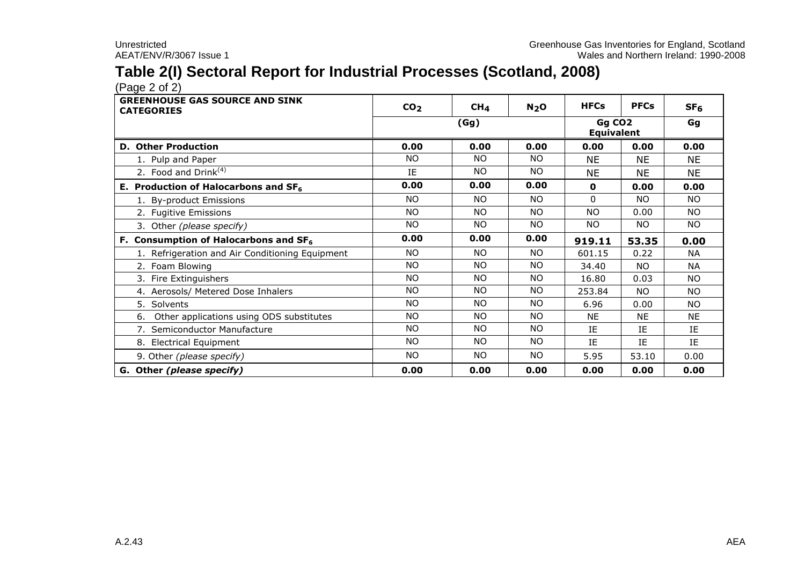## **Table 2(I) Sectoral Report for Industrial Processes (Scotland, 2008)**

 $(Pa^2 \circ 2)$ 

| <b>GREENHOUSE GAS SOURCE AND SINK</b><br><b>CATEGORIES</b> | CO <sub>2</sub> | CH <sub>4</sub> | N <sub>2</sub> O | <b>HFCs</b>                             | <b>PFCs</b> | SF <sub>6</sub> |
|------------------------------------------------------------|-----------------|-----------------|------------------|-----------------------------------------|-------------|-----------------|
|                                                            |                 | (Gg)            |                  | Gg CO <sub>2</sub><br><b>Equivalent</b> |             | Gg              |
| <b>D. Other Production</b>                                 | 0.00            | 0.00            | 0.00             | 0.00                                    | 0.00        | 0.00            |
| 1. Pulp and Paper                                          | <b>NO</b>       | N <sub>O</sub>  | <b>NO</b>        | <b>NE</b>                               | <b>NE</b>   | <b>NE</b>       |
| 2. Food and Drink <sup>(4)</sup>                           | IE              | N <sub>O</sub>  | <b>NO</b>        | NE.                                     | <b>NE</b>   | <b>NE</b>       |
| E. Production of Halocarbons and $SF6$                     | 0.00            | 0.00            | 0.00             | 0                                       | 0.00        | 0.00            |
| 1. By-product Emissions                                    | <b>NO</b>       | N <sub>O</sub>  | <b>NO</b>        | $\Omega$                                | <b>NO</b>   | NO.             |
| 2. Fugitive Emissions                                      | <b>NO</b>       | <b>NO</b>       | <b>NO</b>        | <b>NO</b>                               | 0.00        | NO.             |
| 3. Other (please specify)                                  | <b>NO</b>       | NO.             | <b>NO</b>        | NO.                                     | <b>NO</b>   | <b>NO</b>       |
| F. Consumption of Halocarbons and SF <sub>6</sub>          | 0.00            | 0.00            | 0.00             | 919.11                                  | 53.35       | 0.00            |
| 1. Refrigeration and Air Conditioning Equipment            | NO.             | <b>NO</b>       | NO.              | 601.15                                  | 0.22        | <b>NA</b>       |
| 2. Foam Blowing                                            | <b>NO</b>       | <b>NO</b>       | NO.              | 34.40                                   | <b>NO</b>   | <b>NA</b>       |
| 3. Fire Extinguishers                                      | <b>NO</b>       | <b>NO</b>       | <b>NO</b>        | 16.80                                   | 0.03        | NO.             |
| 4. Aerosols/ Metered Dose Inhalers                         | <b>NO</b>       | <b>NO</b>       | NO.              | 253.84                                  | <b>NO</b>   | <b>NO</b>       |
| 5. Solvents                                                | <b>NO</b>       | NO.             | NO.              | 6.96                                    | 0.00        | NO.             |
| Other applications using ODS substitutes<br>6.             | NO              | NO.             | <b>NO</b>        | <b>NE</b>                               | <b>NE</b>   | <b>NE</b>       |
| 7. Semiconductor Manufacture                               | <b>NO</b>       | N <sub>O</sub>  | <b>NO</b>        | IE                                      | IE          | IE              |
| 8. Electrical Equipment                                    | <b>NO</b>       | NO.             | NO.              | <b>IF</b>                               | IE          | IE              |
| 9. Other (please specify)                                  | <b>NO</b>       | NO.             | NO.              | 5.95                                    | 53.10       | 0.00            |
| G. Other (please specify)                                  | 0.00            | 0.00            | 0.00             | 0.00                                    | 0.00        | 0.00            |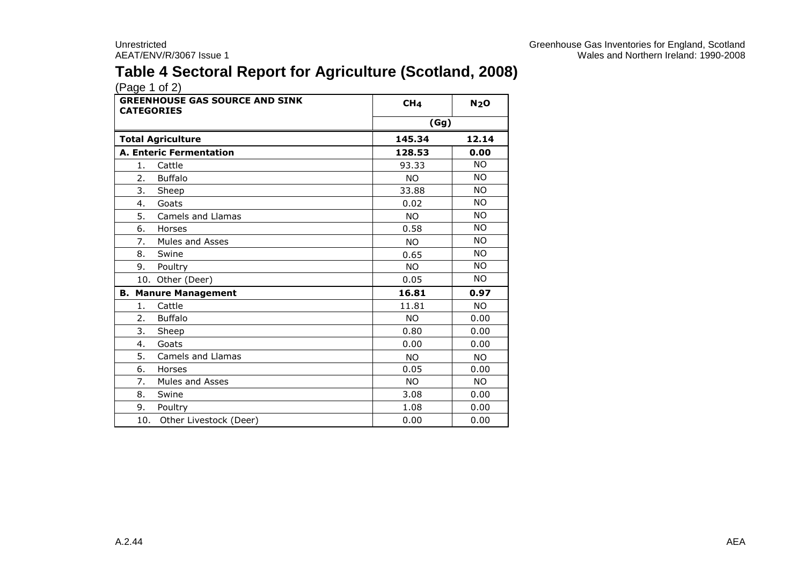## **Table 4 Sectoral Report for Agriculture (Scotland, 2008)**

| <b>GREENHOUSE GAS SOURCE AND SINK</b><br><b>CATEGORIES</b> | CH <sub>4</sub> | N <sub>2</sub> O |
|------------------------------------------------------------|-----------------|------------------|
|                                                            | (Gg)            |                  |
| <b>Total Agriculture</b>                                   | 145.34          | 12.14            |
| <b>A. Enteric Fermentation</b>                             | 128.53          | 0.00             |
| 1.<br>Cattle                                               | 93.33           | <b>NO</b>        |
| <b>Buffalo</b><br>2.                                       | NO.             | <b>NO</b>        |
| 3.<br>Sheep                                                | 33.88           | <b>NO</b>        |
| Goats<br>4.                                                | 0.02            | <b>NO</b>        |
| 5.<br>Camels and Llamas                                    | <b>NO</b>       | NO.              |
| Horses<br>6.                                               | 0.58            | NO.              |
| 7.<br><b>Mules and Asses</b>                               | <b>NO</b>       | <b>NO</b>        |
| 8.<br>Swine                                                | 0.65            | NO.              |
| 9.<br>Poultry                                              | NO.             | <b>NO</b>        |
| 10. Other (Deer)                                           | 0.05            | NO.              |
| <b>B. Manure Management</b>                                | 16.81           | 0.97             |
| Cattle<br>1.                                               | 11.81           | <b>NO</b>        |
| <b>Buffalo</b><br>2.                                       | NO.             | 0.00             |
| 3.<br>Sheep                                                | 0.80            | 0.00             |
| Goats<br>4.                                                | 0.00            | 0.00             |
| 5.<br><b>Camels and Llamas</b>                             | NO.             | NO.              |
| 6.<br>Horses                                               | 0.05            | 0.00             |
| 7.<br><b>Mules and Asses</b>                               | <b>NO</b>       | <b>NO</b>        |
| 8.<br>Swine                                                | 3.08            | 0.00             |
| 9.<br>Poultry                                              | 1.08            | 0.00             |
| 10.<br>Other Livestock (Deer)                              | 0.00            | 0.00             |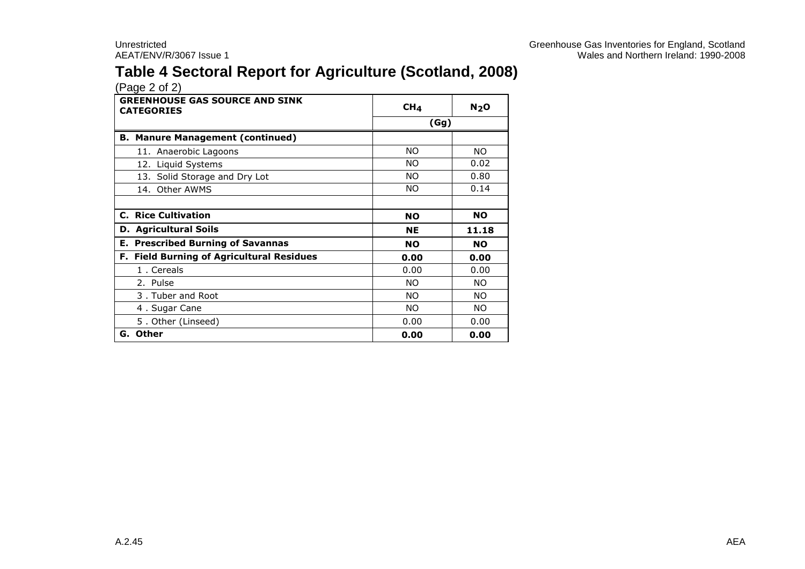## **Table 4 Sectoral Report for Agriculture (Scotland, 2008)**

| <b>GREENHOUSE GAS SOURCE AND SINK</b><br><b>CATEGORIES</b> | CH <sub>4</sub> | N <sub>2</sub> O |  |
|------------------------------------------------------------|-----------------|------------------|--|
|                                                            | (Gg)            |                  |  |
| <b>B. Manure Management (continued)</b>                    |                 |                  |  |
| 11. Anaerobic Lagoons                                      | ΝO              | NO.              |  |
| 12. Liquid Systems                                         | ΝO              | 0.02             |  |
| 13. Solid Storage and Dry Lot                              | ΝO              | 0.80             |  |
| 14. Other AWMS                                             | ΝO              | 0.14             |  |
|                                                            |                 |                  |  |
| <b>C. Rice Cultivation</b>                                 | <b>NO</b>       | <b>NO</b>        |  |
| <b>D.</b> Agricultural Soils                               | <b>NE</b>       | 11.18            |  |
| <b>E. Prescribed Burning of Savannas</b>                   | <b>NO</b>       | <b>NO</b>        |  |
| F. Field Burning of Agricultural Residues                  | 0.00            | 0.00             |  |
| 1. Cereals                                                 | 0.00            | 0.00             |  |
| 2. Pulse                                                   | <b>NO</b>       | <b>NO</b>        |  |
| 3. Tuber and Root                                          | ΝO              | NO.              |  |
| 4. Sugar Cane                                              | ΝO              | NO.              |  |
| 5. Other (Linseed)                                         | 0.00            | 0.00             |  |
| G. Other                                                   | 0.00            | 0.00             |  |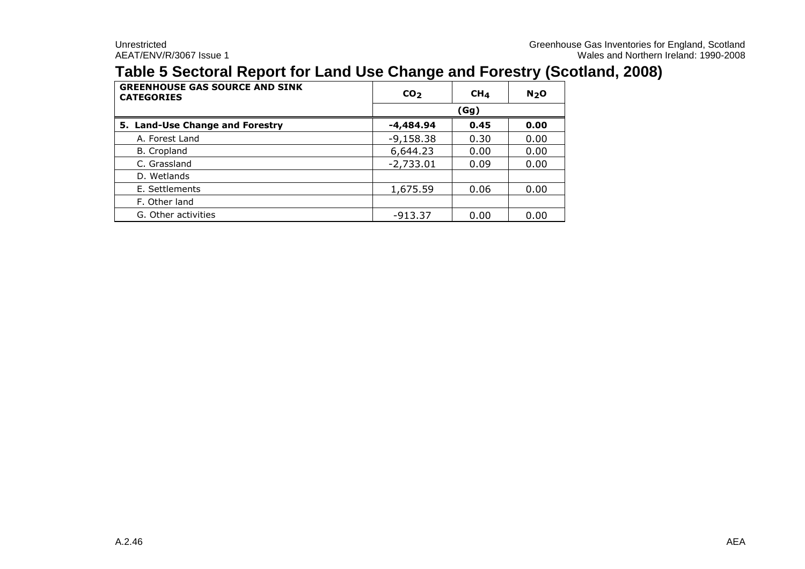#### **Table 5 Sectoral Report for Land Use Change and Forestry (Scotland, 2008)**

| <b>GREENHOUSE GAS SOURCE AND SINK</b><br><b>CATEGORIES</b> | CO <sub>2</sub> | CH <sub>4</sub> | N <sub>2</sub> O |  |  |  |
|------------------------------------------------------------|-----------------|-----------------|------------------|--|--|--|
|                                                            |                 | (Gg)            |                  |  |  |  |
| 5. Land-Use Change and Forestry                            | -4,484.94       | 0.45            | 0.00             |  |  |  |
| A. Forest Land                                             | $-9,158.38$     | 0.30            | 0.00             |  |  |  |
| B. Cropland                                                | 6,644.23        | 0.00            | 0.00             |  |  |  |
| C. Grassland                                               | $-2,733.01$     | 0.09            | 0.00             |  |  |  |
| D. Wetlands                                                |                 |                 |                  |  |  |  |
| E. Settlements                                             | 1,675.59        | 0.06            | 0.00             |  |  |  |
| F. Other land                                              |                 |                 |                  |  |  |  |
| G. Other activities                                        | $-913.37$       | 0.00            | 0.00             |  |  |  |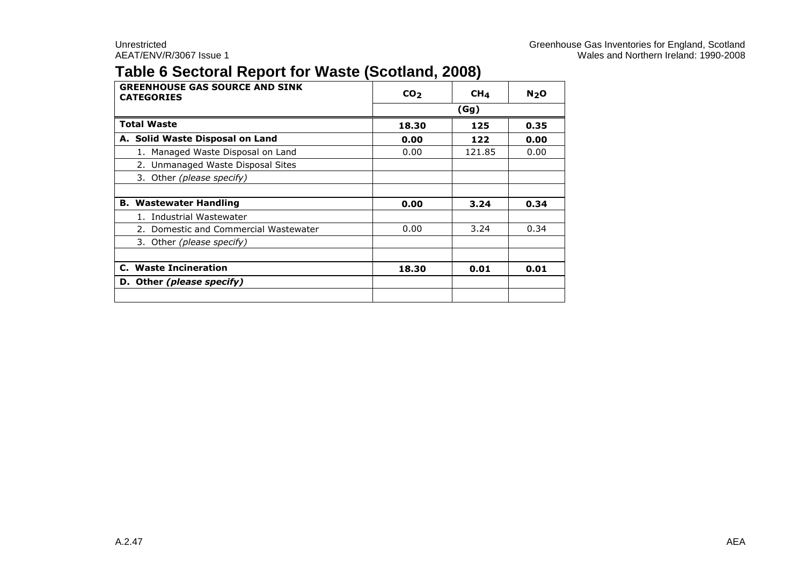#### **Table 6 Sectoral Report for Waste (Scotland, 2008)**

| <b>GREENHOUSE GAS SOURCE AND SINK</b><br><b>CATEGORIES</b> | CO <sub>2</sub> | CH <sub>4</sub> | N <sub>2</sub> O |  |
|------------------------------------------------------------|-----------------|-----------------|------------------|--|
|                                                            | (Gg)            |                 |                  |  |
| <b>Total Waste</b>                                         | 18.30           | 125             | 0.35             |  |
| A. Solid Waste Disposal on Land                            | 0.00            | 122             | 0.00             |  |
| 1. Managed Waste Disposal on Land                          | 0.00            | 121.85          | 0.00             |  |
| 2. Unmanaged Waste Disposal Sites                          |                 |                 |                  |  |
| 3. Other (please specify)                                  |                 |                 |                  |  |
|                                                            |                 |                 |                  |  |
| <b>B. Wastewater Handling</b>                              | 0.00            | 3.24            | 0.34             |  |
| 1. Industrial Wastewater                                   |                 |                 |                  |  |
| 2. Domestic and Commercial Wastewater                      | 0.00            | 3.24            | 0.34             |  |
| 3. Other (please specify)                                  |                 |                 |                  |  |
|                                                            |                 |                 |                  |  |
| C. Waste Incineration                                      | 18.30           | 0.01            | 0.01             |  |
| D. Other (please specify)                                  |                 |                 |                  |  |
|                                                            |                 |                 |                  |  |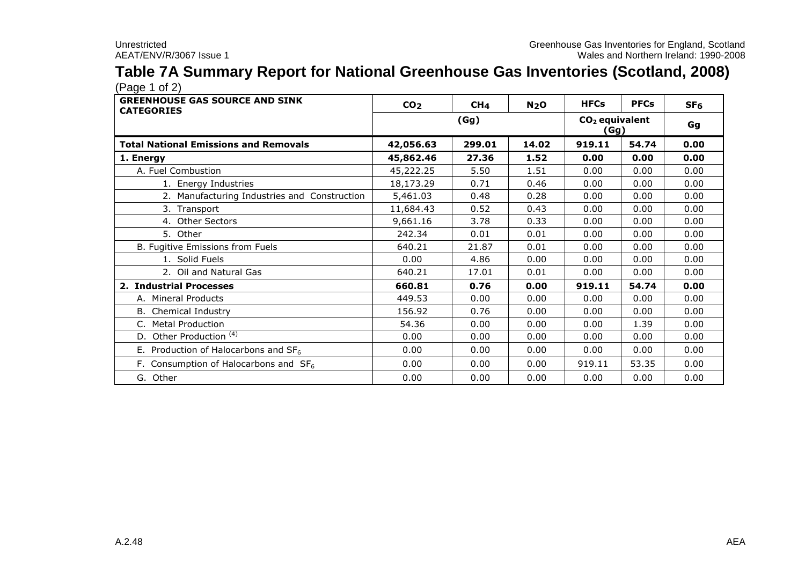# **Table 7A Summary Report for National Greenhouse Gas Inventories (Scotland, 2008)**

| <b>GREENHOUSE GAS SOURCE AND SINK</b><br><b>CATEGORIES</b> | CO <sub>2</sub> | CH <sub>4</sub> | N <sub>2</sub> O | <b>HFCs</b>              | <b>PFCs</b> | SF <sub>6</sub> |
|------------------------------------------------------------|-----------------|-----------------|------------------|--------------------------|-------------|-----------------|
|                                                            | (Gg)            |                 |                  | $CO2$ equivalent<br>(Gg) | Gg          |                 |
| <b>Total National Emissions and Removals</b>               | 42,056.63       | 299.01          | 14.02            | 919.11                   | 54.74       | 0.00            |
| 1. Energy                                                  | 45,862.46       | 27.36           | 1.52             | 0.00                     | 0.00        | 0.00            |
| A. Fuel Combustion                                         | 45,222.25       | 5.50            | 1.51             | 0.00                     | 0.00        | 0.00            |
| 1. Energy Industries                                       | 18,173.29       | 0.71            | 0.46             | 0.00                     | 0.00        | 0.00            |
| 2. Manufacturing Industries and Construction               | 5,461.03        | 0.48            | 0.28             | 0.00                     | 0.00        | 0.00            |
| 3. Transport                                               | 11,684.43       | 0.52            | 0.43             | 0.00                     | 0.00        | 0.00            |
| 4. Other Sectors                                           | 9,661.16        | 3.78            | 0.33             | 0.00                     | 0.00        | 0.00            |
| 5. Other                                                   | 242.34          | 0.01            | 0.01             | 0.00                     | 0.00        | 0.00            |
| B. Fugitive Emissions from Fuels                           | 640.21          | 21.87           | 0.01             | 0.00                     | 0.00        | 0.00            |
| 1. Solid Fuels                                             | 0.00            | 4.86            | 0.00             | 0.00                     | 0.00        | 0.00            |
| 2. Oil and Natural Gas                                     | 640.21          | 17.01           | 0.01             | 0.00                     | 0.00        | 0.00            |
| 2. Industrial Processes                                    | 660.81          | 0.76            | 0.00             | 919.11                   | 54.74       | 0.00            |
| A. Mineral Products                                        | 449.53          | 0.00            | 0.00             | 0.00                     | 0.00        | 0.00            |
| <b>B.</b> Chemical Industry                                | 156.92          | 0.76            | 0.00             | 0.00                     | 0.00        | 0.00            |
| C. Metal Production                                        | 54.36           | 0.00            | 0.00             | 0.00                     | 1.39        | 0.00            |
| Other Production <sup>(4)</sup><br>D.                      | 0.00            | 0.00            | 0.00             | 0.00                     | 0.00        | 0.00            |
| E. Production of Halocarbons and $SF6$                     | 0.00            | 0.00            | 0.00             | 0.00                     | 0.00        | 0.00            |
| F. Consumption of Halocarbons and $SF6$                    | 0.00            | 0.00            | 0.00             | 919.11                   | 53.35       | 0.00            |
| G. Other                                                   | 0.00            | 0.00            | 0.00             | 0.00                     | 0.00        | 0.00            |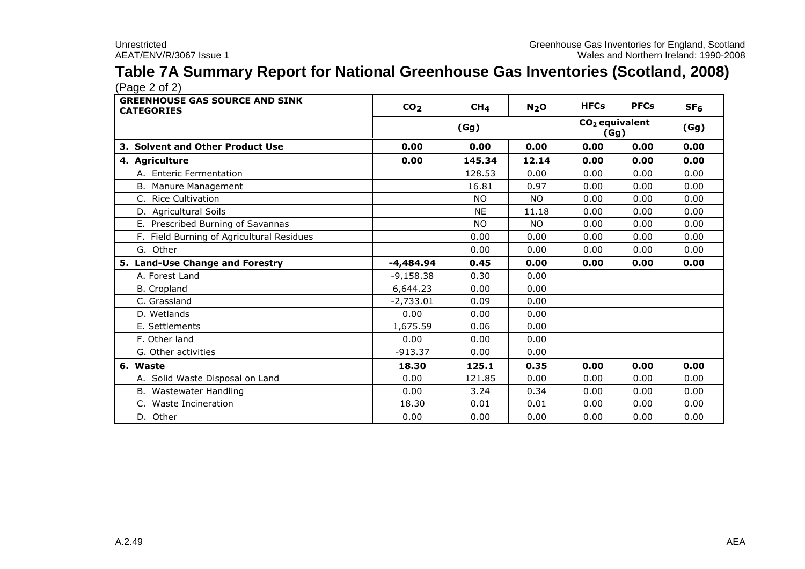# **Table 7A Summary Report for National Greenhouse Gas Inventories (Scotland, 2008)**

| <b>GREENHOUSE GAS SOURCE AND SINK</b><br><b>CATEGORIES</b> | CO <sub>2</sub> | CH <sub>4</sub> | N <sub>2</sub> O | <b>HFCs</b> | <b>PFCs</b>              | SF <sub>6</sub> |
|------------------------------------------------------------|-----------------|-----------------|------------------|-------------|--------------------------|-----------------|
|                                                            |                 | (Gg)            |                  |             | $CO2$ equivalent<br>(Gg) |                 |
| 3. Solvent and Other Product Use                           | 0.00            | 0.00            | 0.00             | 0.00        | 0.00                     | 0.00            |
| 4. Agriculture                                             | 0.00            | 145.34          | 12.14            | 0.00        | 0.00                     | 0.00            |
| A. Enteric Fermentation                                    |                 | 128.53          | 0.00             | 0.00        | 0.00                     | 0.00            |
| B. Manure Management                                       |                 | 16.81           | 0.97             | 0.00        | 0.00                     | 0.00            |
| C. Rice Cultivation                                        |                 | <b>NO</b>       | <b>NO</b>        | 0.00        | 0.00                     | 0.00            |
| D. Agricultural Soils                                      |                 | <b>NE</b>       | 11.18            | 0.00        | 0.00                     | 0.00            |
| E. Prescribed Burning of Savannas                          |                 | <b>NO</b>       | <b>NO</b>        | 0.00        | 0.00                     | 0.00            |
| F. Field Burning of Agricultural Residues                  |                 | 0.00            | 0.00             | 0.00        | 0.00                     | 0.00            |
| G. Other                                                   |                 | 0.00            | 0.00             | 0.00        | 0.00                     | 0.00            |
| 5. Land-Use Change and Forestry                            | -4,484.94       | 0.45            | 0.00             | 0.00        | 0.00                     | 0.00            |
| A. Forest Land                                             | $-9,158.38$     | 0.30            | 0.00             |             |                          |                 |
| <b>B.</b> Cropland                                         | 6,644.23        | 0.00            | 0.00             |             |                          |                 |
| C. Grassland                                               | $-2,733.01$     | 0.09            | 0.00             |             |                          |                 |
| D. Wetlands                                                | 0.00            | 0.00            | 0.00             |             |                          |                 |
| E. Settlements                                             | 1,675.59        | 0.06            | 0.00             |             |                          |                 |
| F. Other land                                              | 0.00            | 0.00            | 0.00             |             |                          |                 |
| G. Other activities                                        | $-913.37$       | 0.00            | 0.00             |             |                          |                 |
| 6. Waste                                                   | 18.30           | 125.1           | 0.35             | 0.00        | 0.00                     | 0.00            |
| A. Solid Waste Disposal on Land                            | 0.00            | 121.85          | 0.00             | 0.00        | 0.00                     | 0.00            |
| B. Wastewater Handling                                     | 0.00            | 3.24            | 0.34             | 0.00        | 0.00                     | 0.00            |
| C. Waste Incineration                                      | 18.30           | 0.01            | 0.01             | 0.00        | 0.00                     | 0.00            |
| D. Other                                                   | 0.00            | 0.00            | 0.00             | 0.00        | 0.00                     | 0.00            |